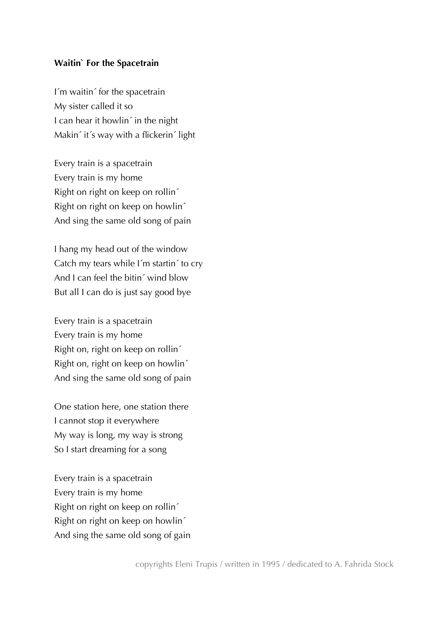## **Waitin` For the Spacetrain**

I´m waitin´ for the spacetrain My sister called it so I can hear it howlin<sup>2</sup> in the night Makin´ it´s way with a flickerin´ light

Every train is a spacetrain Every train is my home Right on right on keep on rollin´ Right on right on keep on howlin´ And sing the same old song of pain

I hang my head out of the window Catch my tears while I´m startin´ to cry And I can feel the bitin´ wind blow But all I can do is just say good bye

Every train is a spacetrain Every train is my home Right on, right on keep on rollin´ Right on, right on keep on howlin´ And sing the same old song of pain

One station here, one station there I cannot stop it everywhere My way is long, my way is strong So I start dreaming for a song

Every train is a spacetrain Every train is my home Right on right on keep on rollin´ Right on right on keep on howlin´ And sing the same old song of gain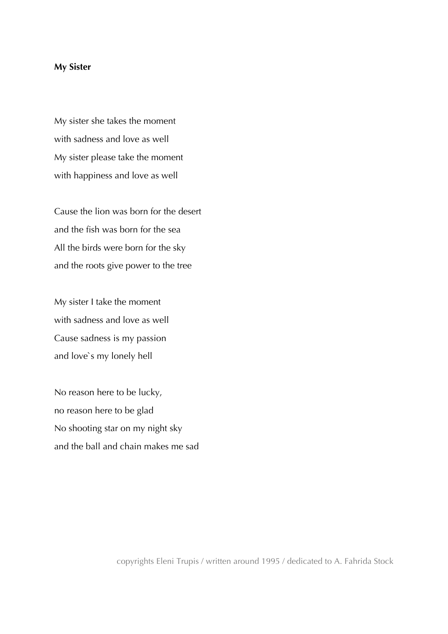## **My Sister**

My sister she takes the moment with sadness and love as well My sister please take the moment with happiness and love as well

Cause the lion was born for the desert and the fish was born for the sea All the birds were born for the sky and the roots give power to the tree

My sister I take the moment with sadness and love as well Cause sadness is my passion and love`s my lonely hell

No reason here to be lucky, no reason here to be glad No shooting star on my night sky and the ball and chain makes me sad